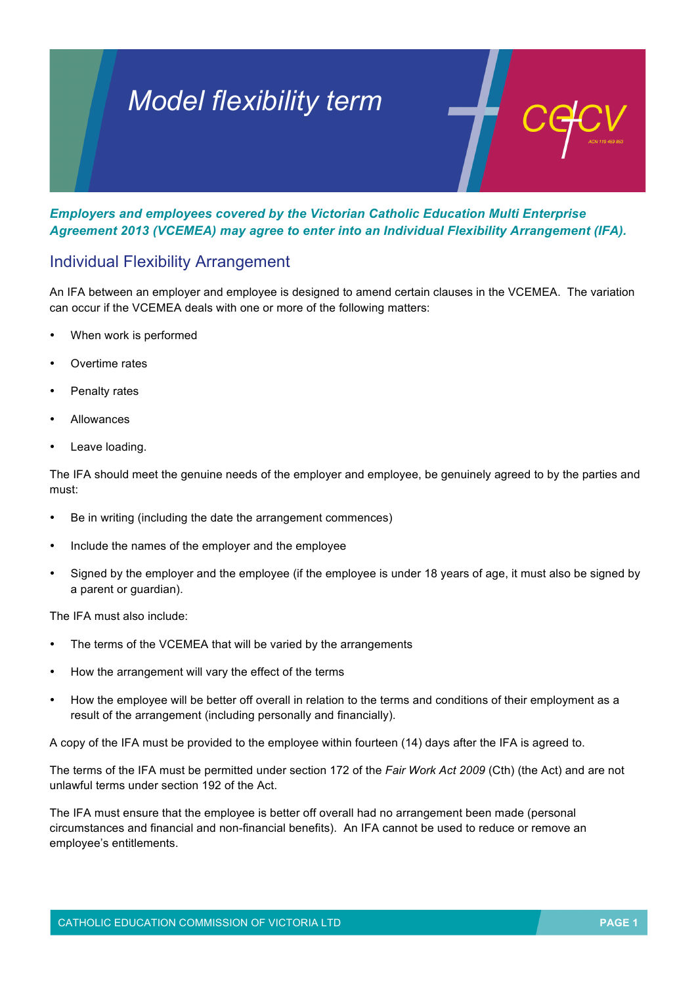# *Model flexibility term*

*Employers and employees covered by the Victorian Catholic Education Multi Enterprise Agreement 2013 (VCEMEA) may agree to enter into an Individual Flexibility Arrangement (IFA).*

## Individual Flexibility Arrangement

An IFA between an employer and employee is designed to amend certain clauses in the VCEMEA. The variation can occur if the VCEMEA deals with one or more of the following matters:

- When work is performed
- Overtime rates
- Penalty rates
- Allowances
- Leave loading.

The IFA should meet the genuine needs of the employer and employee, be genuinely agreed to by the parties and must:

- Be in writing (including the date the arrangement commences)
- Include the names of the employer and the employee
- Signed by the employer and the employee (if the employee is under 18 years of age, it must also be signed by a parent or guardian).

The IFA must also include:

- The terms of the VCEMEA that will be varied by the arrangements
- How the arrangement will vary the effect of the terms
- How the employee will be better off overall in relation to the terms and conditions of their employment as a result of the arrangement (including personally and financially).

A copy of the IFA must be provided to the employee within fourteen (14) days after the IFA is agreed to.

The terms of the IFA must be permitted under section 172 of the *Fair Work Act 2009* (Cth) (the Act) and are not unlawful terms under section 192 of the Act.

The IFA must ensure that the employee is better off overall had no arrangement been made (personal circumstances and financial and non-financial benefits). An IFA cannot be used to reduce or remove an employee's entitlements.